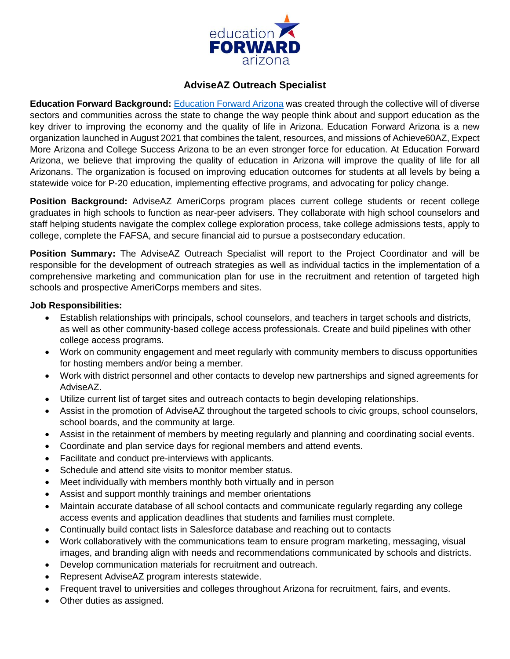

# **AdviseAZ Outreach Specialist**

**Education Forward Background:** [Education Forward Arizona](https://educationforwardarizona.org/) was created through the collective will of diverse sectors and communities across the state to change the way people think about and support education as the key driver to improving the economy and the quality of life in Arizona. Education Forward Arizona is a new organization launched in August 2021 that combines the talent, resources, and missions of Achieve60AZ, Expect More Arizona and College Success Arizona to be an even stronger force for education. At Education Forward Arizona, we believe that improving the quality of education in Arizona will improve the quality of life for all Arizonans. The organization is focused on improving education outcomes for students at all levels by being a statewide voice for P-20 education, implementing effective programs, and advocating for policy change.

**Position Background:** AdviseAZ AmeriCorps program places current college students or recent college graduates in high schools to function as near-peer advisers. They collaborate with high school counselors and staff helping students navigate the complex college exploration process, take college admissions tests, apply to college, complete the FAFSA, and secure financial aid to pursue a postsecondary education.

**Position Summary:** The AdviseAZ Outreach Specialist will report to the Project Coordinator and will be responsible for the development of outreach strategies as well as individual tactics in the implementation of a comprehensive marketing and communication plan for use in the recruitment and retention of targeted high schools and prospective AmeriCorps members and sites.

## **Job Responsibilities:**

- Establish relationships with principals, school counselors, and teachers in target schools and districts, as well as other community-based college access professionals. Create and build pipelines with other college access programs.
- Work on community engagement and meet regularly with community members to discuss opportunities for hosting members and/or being a member.
- Work with district personnel and other contacts to develop new partnerships and signed agreements for AdviseAZ.
- Utilize current list of target sites and outreach contacts to begin developing relationships.
- Assist in the promotion of AdviseAZ throughout the targeted schools to civic groups, school counselors, school boards, and the community at large.
- Assist in the retainment of members by meeting regularly and planning and coordinating social events.
- Coordinate and plan service days for regional members and attend events.
- Facilitate and conduct pre-interviews with applicants.
- Schedule and attend site visits to monitor member status.
- Meet individually with members monthly both virtually and in person
- Assist and support monthly trainings and member orientations
- Maintain accurate database of all school contacts and communicate regularly regarding any college access events and application deadlines that students and families must complete.
- Continually build contact lists in Salesforce database and reaching out to contacts
- Work collaboratively with the communications team to ensure program marketing, messaging, visual images, and branding align with needs and recommendations communicated by schools and districts.
- Develop communication materials for recruitment and outreach.
- Represent AdviseAZ program interests statewide.
- Frequent travel to universities and colleges throughout Arizona for recruitment, fairs, and events.
- Other duties as assigned.